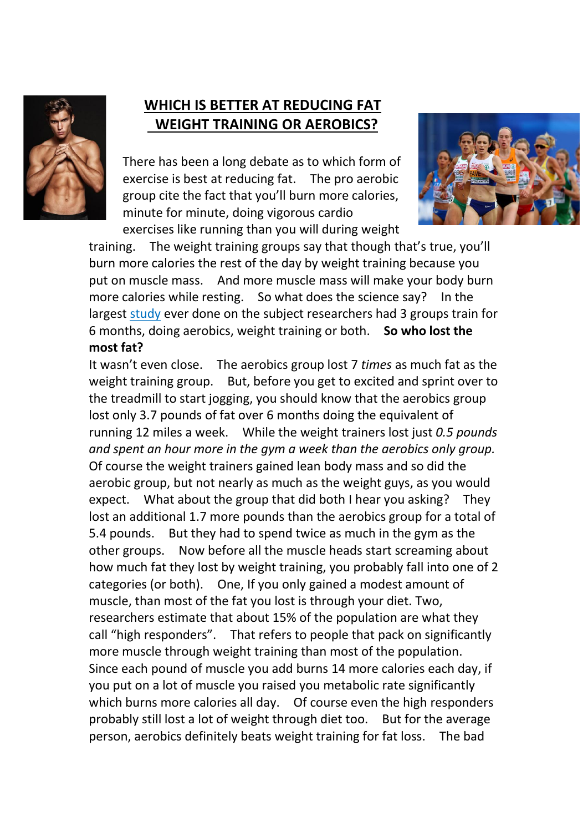

## **WHICH IS BETTER AT REDUCING FAT WEIGHT TRAINING OR AEROBICS?**

There has been a long debate as to which form of exercise is best at reducing fat. The pro aerobic group cite the fact that you'll burn more calories, minute for minute, doing vigorous cardio exercises like running than you will during weight



training. The weight training groups say that though that's true, you'll burn more calories the rest of the day by weight training because you put on muscle mass. And more muscle mass will make your body burn more calories while resting. So what does the science say? In the largest [study](https://www.ncbi.nlm.nih.gov/pmc/articles/PMC3544497/?hc_location=ufi) ever done on the subject researchers had 3 groups train for 6 months, doing aerobics, weight training or both. **So who lost the most fat?**

It wasn't even close. The aerobics group lost 7 *times* as much fat as the weight training group. But, before you get to excited and sprint over to the treadmill to start jogging, you should know that the aerobics group lost only 3.7 pounds of fat over 6 months doing the equivalent of running 12 miles a week. While the weight trainers lost just *0.5 pounds and spent an hour more in the gym a week than the aerobics only group.* Of course the weight trainers gained lean body mass and so did the aerobic group, but not nearly as much as the weight guys, as you would expect. What about the group that did both I hear you asking? They lost an additional 1.7 more pounds than the aerobics group for a total of 5.4 pounds. But they had to spend twice as much in the gym as the other groups. Now before all the muscle heads start screaming about how much fat they lost by weight training, you probably fall into one of 2 categories (or both). One, If you only gained a modest amount of muscle, than most of the fat you lost is through your diet. Two, researchers estimate that about 15% of the population are what they call "high responders". That refers to people that pack on significantly more muscle through weight training than most of the population. Since each pound of muscle you add burns14 more calories each day, if you put on a lot of muscle you raised you metabolic rate significantly which burns more calories all day. Of course even the high responders probably still lost a lot of weight through diet too. But for the average person, aerobics definitely beats weight training for fat loss. The bad